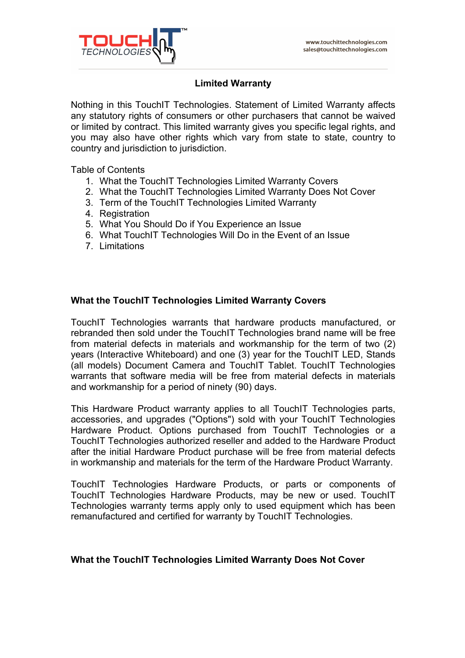

# **Limited Warranty**

Nothing in this TouchIT Technologies. Statement of Limited Warranty affects any statutory rights of consumers or other purchasers that cannot be waived or limited by contract. This limited warranty gives you specific legal rights, and you may also have other rights which vary from state to state, country to country and jurisdiction to jurisdiction.

Table of Contents

- 1. What the TouchIT Technologies Limited Warranty Covers
- 2. What the TouchIT Technologies Limited Warranty Does Not Cover
- 3. Term of the TouchIT Technologies Limited Warranty
- 4. Registration
- 5. What You Should Do if You Experience an Issue
- 6. What TouchIT Technologies Will Do in the Event of an Issue
- 7. Limitations

## **What the TouchIT Technologies Limited Warranty Covers**

TouchIT Technologies warrants that hardware products manufactured, or rebranded then sold under the TouchIT Technologies brand name will be free from material defects in materials and workmanship for the term of two (2) years (Interactive Whiteboard) and one (3) year for the TouchIT LED, Stands (all models) Document Camera and TouchIT Tablet. TouchIT Technologies warrants that software media will be free from material defects in materials and workmanship for a period of ninety (90) days.

This Hardware Product warranty applies to all TouchIT Technologies parts, accessories, and upgrades ("Options") sold with your TouchIT Technologies Hardware Product. Options purchased from TouchIT Technologies or a TouchIT Technologies authorized reseller and added to the Hardware Product after the initial Hardware Product purchase will be free from material defects in workmanship and materials for the term of the Hardware Product Warranty.

TouchIT Technologies Hardware Products, or parts or components of TouchIT Technologies Hardware Products, may be new or used. TouchIT Technologies warranty terms apply only to used equipment which has been remanufactured and certified for warranty by TouchIT Technologies.

### **What the TouchIT Technologies Limited Warranty Does Not Cover**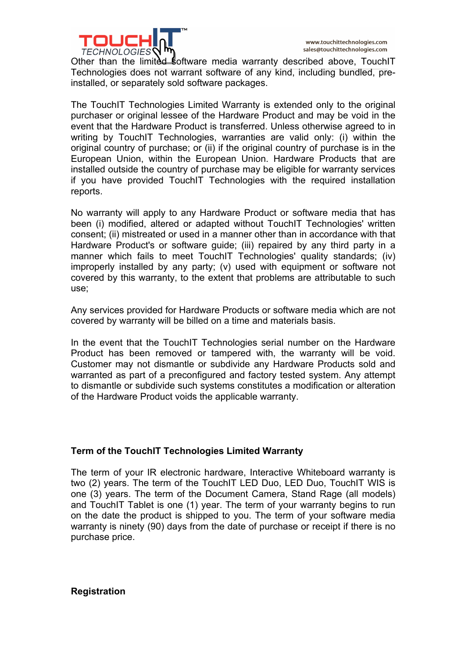

Other than the limited software media warranty described above, TouchIT Technologies does not warrant software of any kind, including bundled, preinstalled, or separately sold software packages.

The TouchIT Technologies Limited Warranty is extended only to the original purchaser or original lessee of the Hardware Product and may be void in the event that the Hardware Product is transferred. Unless otherwise agreed to in writing by TouchIT Technologies, warranties are valid only: (i) within the original country of purchase; or (ii) if the original country of purchase is in the European Union, within the European Union. Hardware Products that are installed outside the country of purchase may be eligible for warranty services if you have provided TouchIT Technologies with the required installation reports.

No warranty will apply to any Hardware Product or software media that has been (i) modified, altered or adapted without TouchIT Technologies' written consent; (ii) mistreated or used in a manner other than in accordance with that Hardware Product's or software guide; (iii) repaired by any third party in a manner which fails to meet TouchIT Technologies' quality standards; (iv) improperly installed by any party; (v) used with equipment or software not covered by this warranty, to the extent that problems are attributable to such use;

Any services provided for Hardware Products or software media which are not covered by warranty will be billed on a time and materials basis.

In the event that the TouchIT Technologies serial number on the Hardware Product has been removed or tampered with, the warranty will be void. Customer may not dismantle or subdivide any Hardware Products sold and warranted as part of a preconfigured and factory tested system. Any attempt to dismantle or subdivide such systems constitutes a modification or alteration of the Hardware Product voids the applicable warranty.

## **Term of the TouchIT Technologies Limited Warranty**

The term of your IR electronic hardware, Interactive Whiteboard warranty is two (2) years. The term of the TouchIT LED Duo, LED Duo, TouchIT WIS is one (3) years. The term of the Document Camera, Stand Rage (all models) and TouchIT Tablet is one (1) year. The term of your warranty begins to run on the date the product is shipped to you. The term of your software media warranty is ninety (90) days from the date of purchase or receipt if there is no purchase price.

**Registration**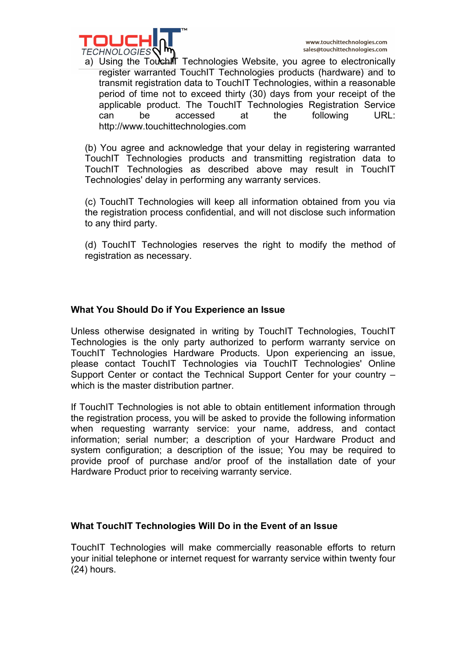

a) Using the TouchIT Technologies Website, you agree to electronically register warranted TouchIT Technologies products (hardware) and to transmit registration data to TouchIT Technologies, within a reasonable period of time not to exceed thirty (30) days from your receipt of the applicable product. The TouchIT Technologies Registration Service can be accessed at the following URL: http://www.touchittechnologies.com

(b) You agree and acknowledge that your delay in registering warranted TouchIT Technologies products and transmitting registration data to TouchIT Technologies as described above may result in TouchIT Technologies' delay in performing any warranty services.

(c) TouchIT Technologies will keep all information obtained from you via the registration process confidential, and will not disclose such information to any third party.

(d) TouchIT Technologies reserves the right to modify the method of registration as necessary.

# **What You Should Do if You Experience an Issue**

Unless otherwise designated in writing by TouchIT Technologies, TouchIT Technologies is the only party authorized to perform warranty service on TouchIT Technologies Hardware Products. Upon experiencing an issue, please contact TouchIT Technologies via TouchIT Technologies' Online Support Center or contact the Technical Support Center for your country – which is the master distribution partner.

If TouchIT Technologies is not able to obtain entitlement information through the registration process, you will be asked to provide the following information when requesting warranty service: your name, address, and contact information; serial number; a description of your Hardware Product and system configuration; a description of the issue; You may be required to provide proof of purchase and/or proof of the installation date of your Hardware Product prior to receiving warranty service.

## **What TouchIT Technologies Will Do in the Event of an Issue**

TouchIT Technologies will make commercially reasonable efforts to return your initial telephone or internet request for warranty service within twenty four (24) hours.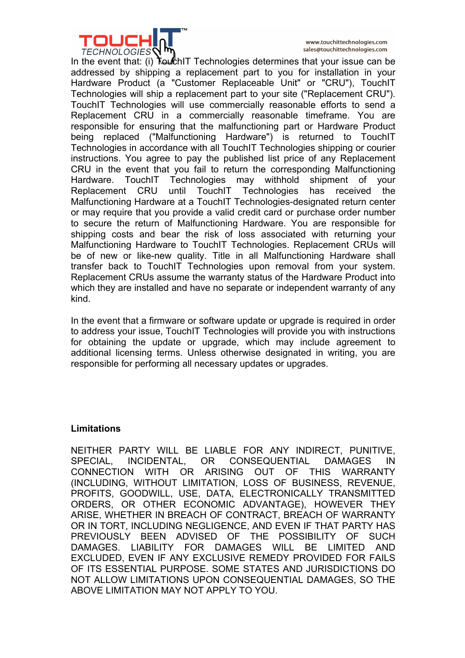

www.touchittechnologies.com sales@touchittechnologies.com

In the event that: (i) **TouchIT** Technologies determines that your issue can be addressed by shipping a replacement part to you for installation in your Hardware Product (a "Customer Replaceable Unit" or "CRU"), TouchIT Technologies will ship a replacement part to your site ("Replacement CRU"). TouchIT Technologies will use commercially reasonable efforts to send a Replacement CRU in a commercially reasonable timeframe. You are responsible for ensuring that the malfunctioning part or Hardware Product being replaced ("Malfunctioning Hardware") is returned to TouchIT Technologies in accordance with all TouchIT Technologies shipping or courier instructions. You agree to pay the published list price of any Replacement CRU in the event that you fail to return the corresponding Malfunctioning Hardware. TouchIT Technologies may withhold shipment of your Replacement CRU until TouchIT Technologies has received the Malfunctioning Hardware at a TouchIT Technologies-designated return center or may require that you provide a valid credit card or purchase order number to secure the return of Malfunctioning Hardware. You are responsible for shipping costs and bear the risk of loss associated with returning your Malfunctioning Hardware to TouchIT Technologies. Replacement CRUs will be of new or like-new quality. Title in all Malfunctioning Hardware shall transfer back to TouchIT Technologies upon removal from your system. Replacement CRUs assume the warranty status of the Hardware Product into which they are installed and have no separate or independent warranty of any kind.

In the event that a firmware or software update or upgrade is required in order to address your issue, TouchIT Technologies will provide you with instructions for obtaining the update or upgrade, which may include agreement to additional licensing terms. Unless otherwise designated in writing, you are responsible for performing all necessary updates or upgrades.

### **Limitations**

NEITHER PARTY WILL BE LIABLE FOR ANY INDIRECT, PUNITIVE, SPECIAL, INCIDENTAL, OR CONSEQUENTIAL DAMAGES IN CONNECTION WITH OR ARISING OUT OF THIS WARRANTY (INCLUDING, WITHOUT LIMITATION, LOSS OF BUSINESS, REVENUE, PROFITS, GOODWILL, USE, DATA, ELECTRONICALLY TRANSMITTED ORDERS, OR OTHER ECONOMIC ADVANTAGE), HOWEVER THEY ARISE, WHETHER IN BREACH OF CONTRACT, BREACH OF WARRANTY OR IN TORT, INCLUDING NEGLIGENCE, AND EVEN IF THAT PARTY HAS PREVIOUSLY BEEN ADVISED OF THE POSSIBILITY OF SUCH DAMAGES. LIABILITY FOR DAMAGES WILL BE LIMITED AND EXCLUDED, EVEN IF ANY EXCLUSIVE REMEDY PROVIDED FOR FAILS OF ITS ESSENTIAL PURPOSE. SOME STATES AND JURISDICTIONS DO NOT ALLOW LIMITATIONS UPON CONSEQUENTIAL DAMAGES, SO THE ABOVE LIMITATION MAY NOT APPLY TO YOU.